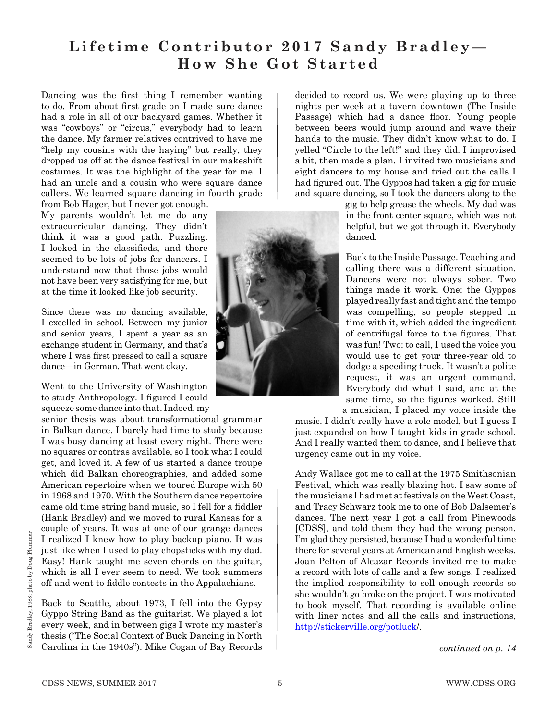## **Lifetime Contributor 2017 Sandy Bradley— How She Got Started**

Dancing was the first thing I remember wanting to do. From about first grade on I made sure dance had a role in all of our backyard games. Whether it was "cowboys" or "circus," everybody had to learn the dance. My farmer relatives contrived to have me "help my cousins with the haying" but really, they dropped us off at the dance festival in our makeshift costumes. It was the highlight of the year for me. I had an uncle and a cousin who were square dance callers. We learned square dancing in fourth grade from Bob Hager, but I never got enough.

My parents wouldn't let me do any extracurricular dancing. They didn't think it was a good path. Puzzling. I looked in the classifieds, and there seemed to be lots of jobs for dancers. I understand now that those jobs would not have been very satisfying for me, but at the time it looked like job security.

Since there was no dancing available, I excelled in school. Between my junior and senior years, I spent a year as an exchange student in Germany, and that's where I was first pressed to call a square dance—in German. That went okay.

Went to the University of Washington to study Anthropology. I figured I could squeeze some dance into that. Indeed, my

senior thesis was about transformational grammar in Balkan dance. I barely had time to study because I was busy dancing at least every night. There were no squares or contras available, so I took what I could get, and loved it. A few of us started a dance troupe which did Balkan choreographies, and added some American repertoire when we toured Europe with 50 in 1968 and 1970. With the Southern dance repertoire came old time string band music, so I fell for a fiddler (Hank Bradley) and we moved to rural Kansas for a couple of years. It was at one of our grange dances I realized I knew how to play backup piano. It was just like when I used to play chopsticks with my dad. Easy! Hank taught me seven chords on the guitar, which is all I ever seem to need. We took summers off and went to fiddle contests in the Appalachians.

Back to Seattle, about 1973, I fell into the Gypsy Gyppo String Band as the guitarist. We played a lot every week, and in between gigs I wrote my master's thesis ("The Social Context of Buck Dancing in North Carolina in the 1940s"). Mike Cogan of Bay Records



decided to record us. We were playing up to three nights per week at a tavern downtown (The Inside Passage) which had a dance floor. Young people between beers would jump around and wave their hands to the music. They didn't know what to do. I yelled "Circle to the left!" and they did. I improvised a bit, then made a plan. I invited two musicians and eight dancers to my house and tried out the calls I had figured out. The Gyppos had taken a gig for music and square dancing, so I took the dancers along to the

> gig to help grease the wheels. My dad was in the front center square, which was not helpful, but we got through it. Everybody danced.

Back to the Inside Passage. Teaching and calling there was a different situation. Dancers were not always sober. Two things made it work. One: the Gyppos played really fast and tight and the tempo was compelling, so people stepped in time with it, which added the ingredient of centrifugal force to the igures. That was fun! Two: to call, I used the voice you would use to get your three-year old to dodge a speeding truck. It wasn't a polite request, it was an urgent command. Everybody did what I said, and at the same time, so the figures worked. Still a musician, I placed my voice inside the

music. I didn't really have a role model, but I guess I just expanded on how I taught kids in grade school. And I really wanted them to dance, and I believe that urgency came out in my voice.

Andy Wallace got me to call at the 1975 Smithsonian Festival, which was really blazing hot. I saw some of the musicians I had met at festivals on the West Coast, and Tracy Schwarz took me to one of Bob Dalsemer's dances. The next year I got a call from Pinewoods [CDSS], and told them they had the wrong person. I'm glad they persisted, because I had a wonderful time there for several years at American and English weeks. Joan Pelton of Alcazar Records invited me to make a record with lots of calls and a few songs. I realized the implied responsibility to sell enough records so she wouldn't go broke on the project. I was motivated to book myself. That recording is available online with liner notes and all the calls and instructions, http://stickerville.org/potluck/.

*continued on p. 14*